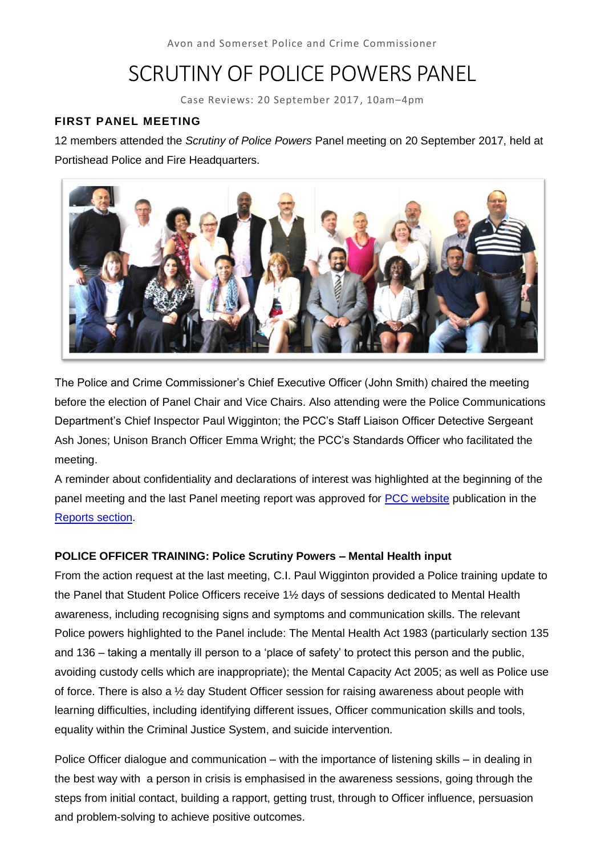# SCRUTINY OF POLICE POWERS PANEL

Case Reviews: 20 September 2017, 10am–4pm

### **FIRST PANEL MEETING**

12 members attended the *Scrutiny of Police Powers* Panel meeting on 20 September 2017, held at Portishead Police and Fire Headquarters.



The Police and Crime Commissioner's Chief Executive Officer (John Smith) chaired the meeting before the election of Panel Chair and Vice Chairs. Also attending were the Police Communications Department's Chief Inspector Paul Wigginton; the PCC's Staff Liaison Officer Detective Sergeant Ash Jones; Unison Branch Officer Emma Wright; the PCC's Standards Officer who facilitated the meeting.

A reminder about confidentiality and declarations of interest was highlighted at the beginning of the panel meeting and the last Panel meeting report was approved for [PCC website](http://www.avonandsomerset-pcc.gov.uk/Openness/Scrutiny.aspx) publication in the [Reports section.](file://///hqfs01/groupspa$/OFFICE%20OF%20PCC/Volunteer%20Panels/SPPP/20171219%20SPP%20meeting/-%20http:/www.avonandsomerset-pcc.gov.uk/Openness/Scrutiny/Scrutiny-of-the-use-of-Police-Powers.aspx)

### **POLICE OFFICER TRAINING: Police Scrutiny Powers – Mental Health input**

From the action request at the last meeting, C.I. Paul Wigginton provided a Police training update to the Panel that Student Police Officers receive 1½ days of sessions dedicated to Mental Health awareness, including recognising signs and symptoms and communication skills. The relevant Police powers highlighted to the Panel include: The Mental Health Act 1983 (particularly section 135 and 136 – taking a mentally ill person to a 'place of safety' to protect this person and the public, avoiding custody cells which are inappropriate); the Mental Capacity Act 2005; as well as Police use of force. There is also a ½ day Student Officer session for raising awareness about people with learning difficulties, including identifying different issues, Officer communication skills and tools, equality within the Criminal Justice System, and suicide intervention.

Police Officer dialogue and communication – with the importance of listening skills – in dealing in the best way with a person in crisis is emphasised in the awareness sessions, going through the steps from initial contact, building a rapport, getting trust, through to Officer influence, persuasion and problem-solving to achieve positive outcomes.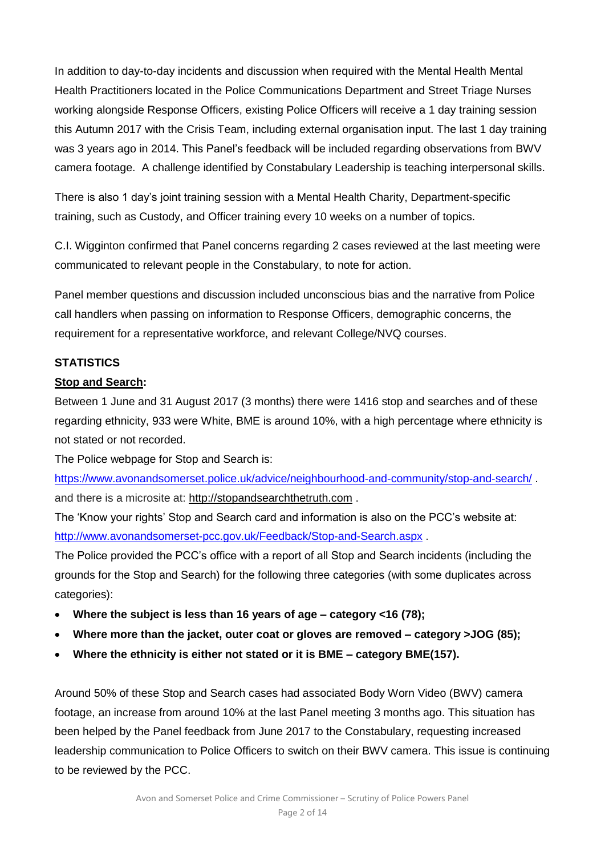In addition to day-to-day incidents and discussion when required with the Mental Health Mental Health Practitioners located in the Police Communications Department and Street Triage Nurses working alongside Response Officers, existing Police Officers will receive a 1 day training session this Autumn 2017 with the Crisis Team, including external organisation input. The last 1 day training was 3 years ago in 2014. This Panel's feedback will be included regarding observations from BWV camera footage. A challenge identified by Constabulary Leadership is teaching interpersonal skills.

There is also 1 day's joint training session with a Mental Health Charity, Department-specific training, such as Custody, and Officer training every 10 weeks on a number of topics.

C.I. Wigginton confirmed that Panel concerns regarding 2 cases reviewed at the last meeting were communicated to relevant people in the Constabulary, to note for action.

Panel member questions and discussion included unconscious bias and the narrative from Police call handlers when passing on information to Response Officers, demographic concerns, the requirement for a representative workforce, and relevant College/NVQ courses.

### **STATISTICS**

### **Stop and Search:**

Between 1 June and 31 August 2017 (3 months) there were 1416 stop and searches and of these regarding ethnicity, 933 were White, BME is around 10%, with a high percentage where ethnicity is not stated or not recorded.

The Police webpage for Stop and Search is:

<https://www.avonandsomerset.police.uk/advice/neighbourhood-and-community/stop-and-search/> . and there is a microsite at: [http://stopandsearchthetruth.com](http://stopandsearchthetruth.com/) .

The 'Know your rights' Stop and Search card and information is also on the PCC's website at: <http://www.avonandsomerset-pcc.gov.uk/Feedback/Stop-and-Search.aspx> .

The Police provided the PCC's office with a report of all Stop and Search incidents (including the grounds for the Stop and Search) for the following three categories (with some duplicates across categories):

- **Where the subject is less than 16 years of age – category <16 (78);**
- **Where more than the jacket, outer coat or gloves are removed – category >JOG (85);**
- **Where the ethnicity is either not stated or it is BME – category BME(157).**

Around 50% of these Stop and Search cases had associated Body Worn Video (BWV) camera footage, an increase from around 10% at the last Panel meeting 3 months ago. This situation has been helped by the Panel feedback from June 2017 to the Constabulary, requesting increased leadership communication to Police Officers to switch on their BWV camera. This issue is continuing to be reviewed by the PCC.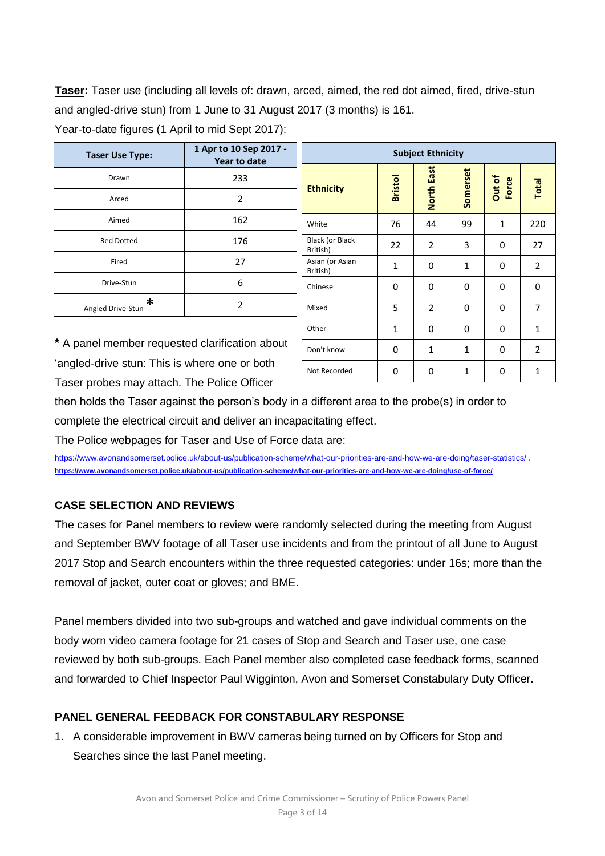**Taser:** Taser use (including all levels of: drawn, arced, aimed, the red dot aimed, fired, drive-stun and angled-drive stun) from 1 June to 31 August 2017 (3 months) is 161.

| <b>Taser Use Type:</b> | 1 Apr to 10 Sep 2017 -<br><b>Year to date</b> |  |  |
|------------------------|-----------------------------------------------|--|--|
| Drawn                  | 233                                           |  |  |
| Arced                  | 2                                             |  |  |
| Aimed                  | 162                                           |  |  |
| <b>Red Dotted</b>      | 176                                           |  |  |
| Fired                  | 27                                            |  |  |
| Drive-Stun             | 6                                             |  |  |
| ж<br>Angled Drive-Stun | $\overline{2}$                                |  |  |

Year-to-date figures (1 April to mid Sept 2017):

| <b>Subject Ethnicity</b>    |                |                |              |                 |                |  |  |
|-----------------------------|----------------|----------------|--------------|-----------------|----------------|--|--|
| <b>Ethnicity</b>            | <b>Bristol</b> | North East     | Somerset     | Out of<br>Force | Total          |  |  |
| White                       | 76             | 44             | 99           | $\mathbf{1}$    | 220            |  |  |
| Black (or Black<br>British) | 22             | 2              | 3            | 0               | 27             |  |  |
| Asian (or Asian<br>British) | $\mathbf{1}$   | 0              | $\mathbf{1}$ | 0               | 2              |  |  |
| Chinese                     | 0              | 0              | 0            | 0               | 0              |  |  |
| Mixed                       | 5              | $\overline{2}$ | 0            | 0               | 7              |  |  |
| Other                       | $\mathbf{1}$   | 0              | 0            | 0               | $\mathbf{1}$   |  |  |
| Don't know                  | 0              | $\mathbf{1}$   | 1            | 0               | $\overline{2}$ |  |  |
| Not Recorded                | 0              | 0              | 1            | 0               | 1              |  |  |

**\*** A panel member requested clarification about 'angled-drive stun: This is where one or both Taser probes may attach. The Police Officer

then holds the Taser against the person's body in a different area to the probe(s) in order to complete the electrical circuit and deliver an incapacitating effect.

The Police webpages for Taser and Use of Force data are:

<https://www.avonandsomerset.police.uk/about-us/publication-scheme/what-our-priorities-are-and-how-we-are-doing/taser-statistics/> . **<https://www.avonandsomerset.police.uk/about-us/publication-scheme/what-our-priorities-are-and-how-we-are-doing/use-of-force/>**

### **CASE SELECTION AND REVIEWS**

The cases for Panel members to review were randomly selected during the meeting from August and September BWV footage of all Taser use incidents and from the printout of all June to August 2017 Stop and Search encounters within the three requested categories: under 16s; more than the removal of jacket, outer coat or gloves; and BME.

Panel members divided into two sub-groups and watched and gave individual comments on the body worn video camera footage for 21 cases of Stop and Search and Taser use, one case reviewed by both sub-groups. Each Panel member also completed case feedback forms, scanned and forwarded to Chief Inspector Paul Wigginton, Avon and Somerset Constabulary Duty Officer.

### **PANEL GENERAL FEEDBACK FOR CONSTABULARY RESPONSE**

1. A considerable improvement in BWV cameras being turned on by Officers for Stop and Searches since the last Panel meeting.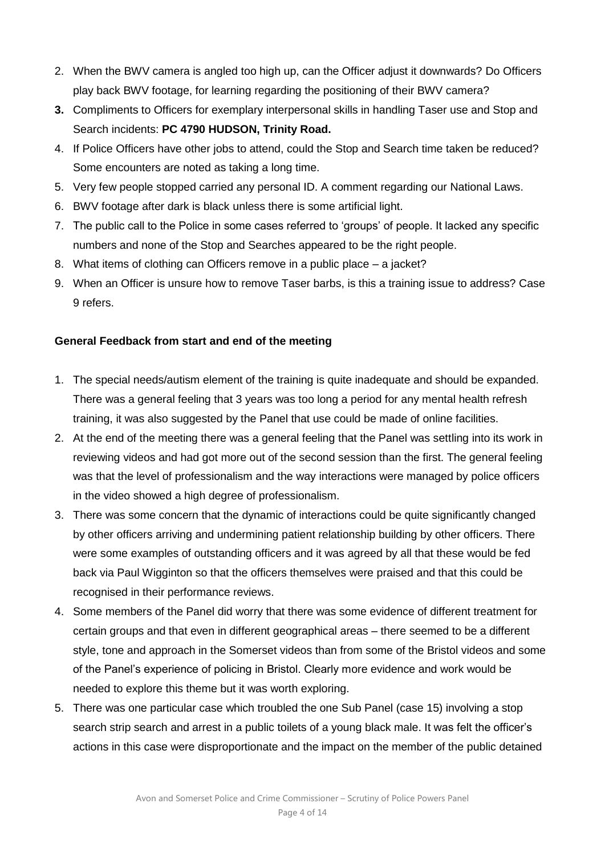- 2. When the BWV camera is angled too high up, can the Officer adjust it downwards? Do Officers play back BWV footage, for learning regarding the positioning of their BWV camera?
- **3.** Compliments to Officers for exemplary interpersonal skills in handling Taser use and Stop and Search incidents: **PC 4790 HUDSON, Trinity Road.**
- 4. If Police Officers have other jobs to attend, could the Stop and Search time taken be reduced? Some encounters are noted as taking a long time.
- 5. Very few people stopped carried any personal ID. A comment regarding our National Laws.
- 6. BWV footage after dark is black unless there is some artificial light.
- 7. The public call to the Police in some cases referred to 'groups' of people. It lacked any specific numbers and none of the Stop and Searches appeared to be the right people.
- 8. What items of clothing can Officers remove in a public place a jacket?
- 9. When an Officer is unsure how to remove Taser barbs, is this a training issue to address? Case 9 refers.

### **General Feedback from start and end of the meeting**

- 1. The special needs/autism element of the training is quite inadequate and should be expanded. There was a general feeling that 3 years was too long a period for any mental health refresh training, it was also suggested by the Panel that use could be made of online facilities.
- 2. At the end of the meeting there was a general feeling that the Panel was settling into its work in reviewing videos and had got more out of the second session than the first. The general feeling was that the level of professionalism and the way interactions were managed by police officers in the video showed a high degree of professionalism.
- 3. There was some concern that the dynamic of interactions could be quite significantly changed by other officers arriving and undermining patient relationship building by other officers. There were some examples of outstanding officers and it was agreed by all that these would be fed back via Paul Wigginton so that the officers themselves were praised and that this could be recognised in their performance reviews.
- 4. Some members of the Panel did worry that there was some evidence of different treatment for certain groups and that even in different geographical areas – there seemed to be a different style, tone and approach in the Somerset videos than from some of the Bristol videos and some of the Panel's experience of policing in Bristol. Clearly more evidence and work would be needed to explore this theme but it was worth exploring.
- 5. There was one particular case which troubled the one Sub Panel (case 15) involving a stop search strip search and arrest in a public toilets of a young black male. It was felt the officer's actions in this case were disproportionate and the impact on the member of the public detained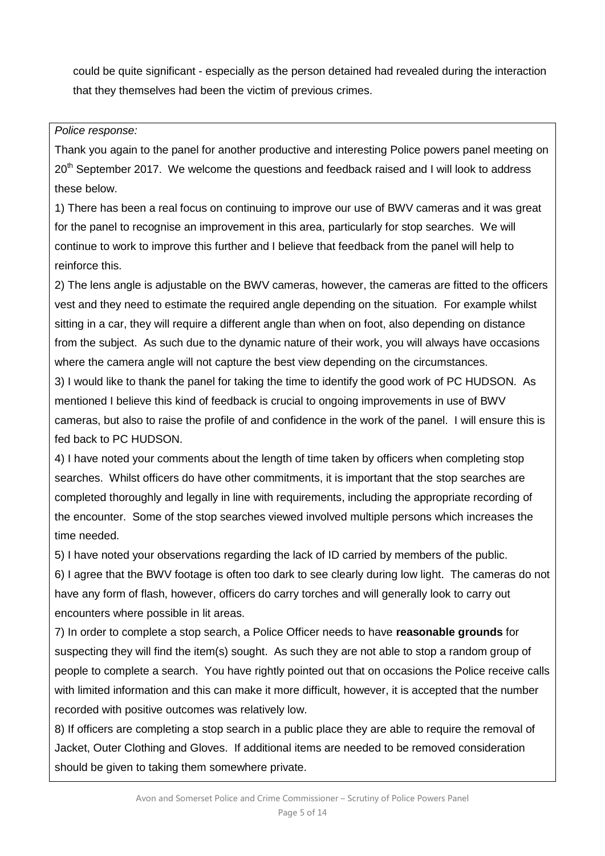could be quite significant - especially as the person detained had revealed during the interaction that they themselves had been the victim of previous crimes.

### *Police response:*

Thank you again to the panel for another productive and interesting Police powers panel meeting on 20<sup>th</sup> September 2017. We welcome the questions and feedback raised and I will look to address these below.

1) There has been a real focus on continuing to improve our use of BWV cameras and it was great for the panel to recognise an improvement in this area, particularly for stop searches. We will continue to work to improve this further and I believe that feedback from the panel will help to reinforce this.

2) The lens angle is adjustable on the BWV cameras, however, the cameras are fitted to the officers vest and they need to estimate the required angle depending on the situation. For example whilst sitting in a car, they will require a different angle than when on foot, also depending on distance from the subject. As such due to the dynamic nature of their work, you will always have occasions where the camera angle will not capture the best view depending on the circumstances.

3) I would like to thank the panel for taking the time to identify the good work of PC HUDSON. As mentioned I believe this kind of feedback is crucial to ongoing improvements in use of BWV cameras, but also to raise the profile of and confidence in the work of the panel. I will ensure this is fed back to PC HUDSON.

4) I have noted your comments about the length of time taken by officers when completing stop searches. Whilst officers do have other commitments, it is important that the stop searches are completed thoroughly and legally in line with requirements, including the appropriate recording of the encounter. Some of the stop searches viewed involved multiple persons which increases the time needed.

5) I have noted your observations regarding the lack of ID carried by members of the public.

6) I agree that the BWV footage is often too dark to see clearly during low light. The cameras do not have any form of flash, however, officers do carry torches and will generally look to carry out encounters where possible in lit areas.

7) In order to complete a stop search, a Police Officer needs to have **reasonable grounds** for suspecting they will find the item(s) sought. As such they are not able to stop a random group of people to complete a search. You have rightly pointed out that on occasions the Police receive calls with limited information and this can make it more difficult, however, it is accepted that the number recorded with positive outcomes was relatively low.

8) If officers are completing a stop search in a public place they are able to require the removal of Jacket, Outer Clothing and Gloves. If additional items are needed to be removed consideration should be given to taking them somewhere private.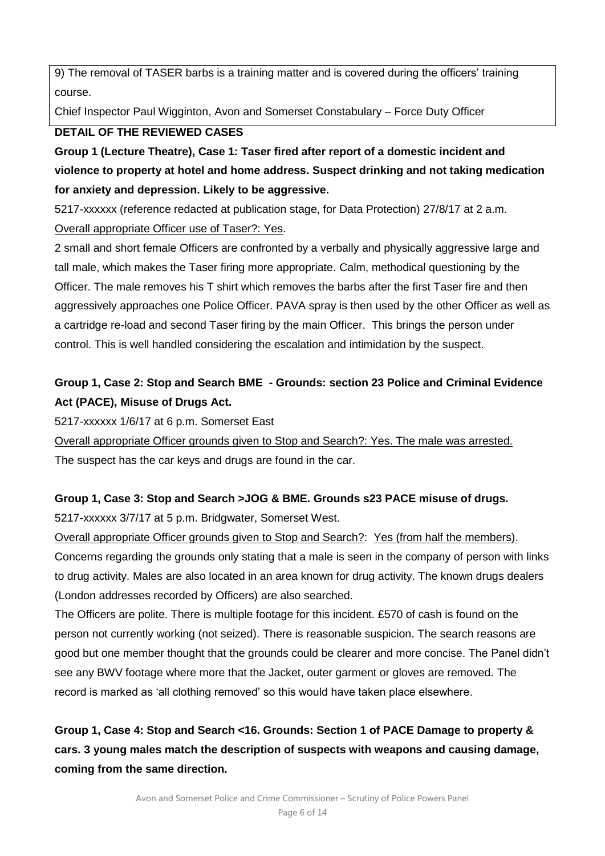9) The removal of TASER barbs is a training matter and is covered during the officers' training course.

Chief Inspector Paul Wigginton, Avon and Somerset Constabulary – Force Duty Officer

### **DETAIL OF THE REVIEWED CASES**

**Group 1 (Lecture Theatre), Case 1: Taser fired after report of a domestic incident and violence to property at hotel and home address. Suspect drinking and not taking medication for anxiety and depression. Likely to be aggressive.**

5217-xxxxxx (reference redacted at publication stage, for Data Protection) 27/8/17 at 2 a.m. Overall appropriate Officer use of Taser?: Yes.

2 small and short female Officers are confronted by a verbally and physically aggressive large and tall male, which makes the Taser firing more appropriate. Calm, methodical questioning by the Officer. The male removes his T shirt which removes the barbs after the first Taser fire and then aggressively approaches one Police Officer. PAVA spray is then used by the other Officer as well as a cartridge re-load and second Taser firing by the main Officer. This brings the person under control. This is well handled considering the escalation and intimidation by the suspect.

### **Group 1, Case 2: Stop and Search BME - Grounds: section 23 Police and Criminal Evidence Act (PACE), Misuse of Drugs Act.**

5217-xxxxxx 1/6/17 at 6 p.m. Somerset East

Overall appropriate Officer grounds given to Stop and Search?: Yes. The male was arrested. The suspect has the car keys and drugs are found in the car.

# **Group 1, Case 3: Stop and Search >JOG & BME. Grounds s23 PACE misuse of drugs.**

5217-xxxxxx 3/7/17 at 5 p.m. Bridgwater, Somerset West.

Overall appropriate Officer grounds given to Stop and Search?: Yes (from half the members). Concerns regarding the grounds only stating that a male is seen in the company of person with links to drug activity. Males are also located in an area known for drug activity. The known drugs dealers (London addresses recorded by Officers) are also searched.

The Officers are polite. There is multiple footage for this incident. £570 of cash is found on the person not currently working (not seized). There is reasonable suspicion. The search reasons are good but one member thought that the grounds could be clearer and more concise. The Panel didn't see any BWV footage where more that the Jacket, outer garment or gloves are removed. The record is marked as 'all clothing removed' so this would have taken place elsewhere.

## **Group 1, Case 4: Stop and Search <16. Grounds: Section 1 of PACE Damage to property & cars. 3 young males match the description of suspects with weapons and causing damage, coming from the same direction.**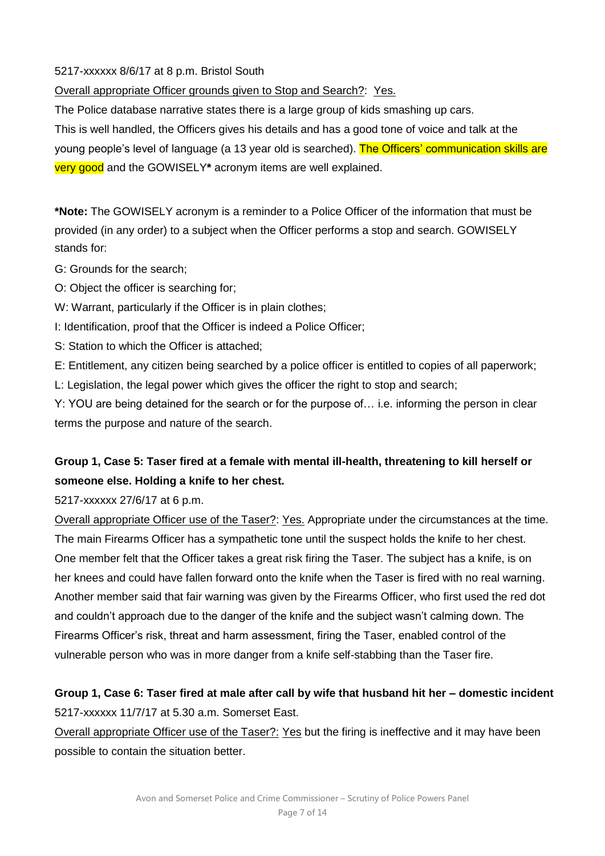5217-xxxxxx 8/6/17 at 8 p.m. Bristol South

Overall appropriate Officer grounds given to Stop and Search?: Yes.

The Police database narrative states there is a large group of kids smashing up cars.

This is well handled, the Officers gives his details and has a good tone of voice and talk at the young people's level of language (a 13 year old is searched). The Officers' communication skills are very good and the GOWISELY**\*** acronym items are well explained.

**\*Note:** The GOWISELY acronym is a reminder to a Police Officer of the information that must be provided (in any order) to a subject when the Officer performs a stop and search. GOWISELY stands for:

- G: Grounds for the search;
- O: Object the officer is searching for;
- W: Warrant, particularly if the Officer is in plain clothes;
- I: Identification, proof that the Officer is indeed a Police Officer;
- S: Station to which the Officer is attached;
- E: Entitlement, any citizen being searched by a police officer is entitled to copies of all paperwork;
- L: Legislation, the legal power which gives the officer the right to stop and search;

Y: YOU are being detained for the search or for the purpose of… i.e. informing the person in clear terms the purpose and nature of the search.

### **Group 1, Case 5: Taser fired at a female with mental ill-health, threatening to kill herself or someone else. Holding a knife to her chest.**

5217-xxxxxx 27/6/17 at 6 p.m.

Overall appropriate Officer use of the Taser?: Yes. Appropriate under the circumstances at the time. The main Firearms Officer has a sympathetic tone until the suspect holds the knife to her chest. One member felt that the Officer takes a great risk firing the Taser. The subject has a knife, is on her knees and could have fallen forward onto the knife when the Taser is fired with no real warning. Another member said that fair warning was given by the Firearms Officer, who first used the red dot and couldn't approach due to the danger of the knife and the subject wasn't calming down. The Firearms Officer's risk, threat and harm assessment, firing the Taser, enabled control of the vulnerable person who was in more danger from a knife self-stabbing than the Taser fire.

### **Group 1, Case 6: Taser fired at male after call by wife that husband hit her – domestic incident**  5217-xxxxxx 11/7/17 at 5.30 a.m. Somerset East.

Overall appropriate Officer use of the Taser?: Yes but the firing is ineffective and it may have been possible to contain the situation better.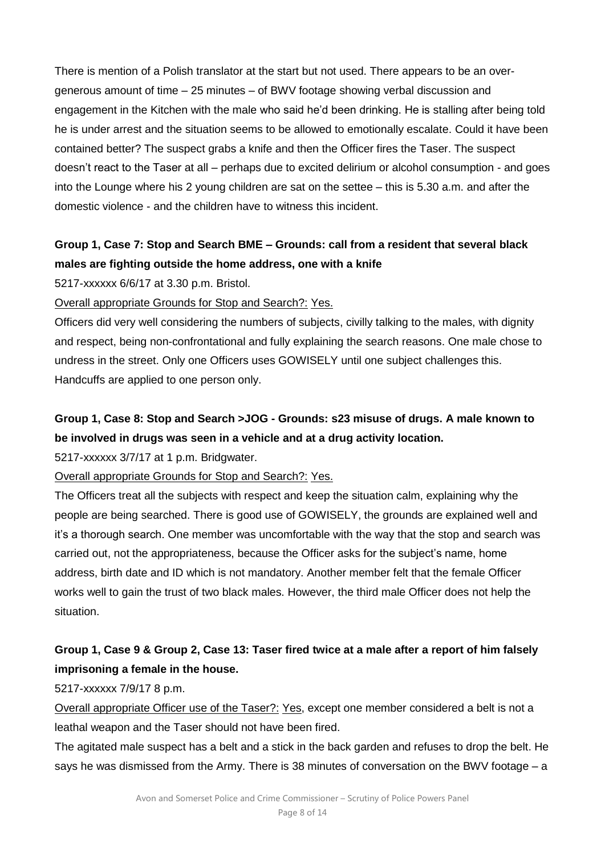There is mention of a Polish translator at the start but not used. There appears to be an overgenerous amount of time – 25 minutes – of BWV footage showing verbal discussion and engagement in the Kitchen with the male who said he'd been drinking. He is stalling after being told he is under arrest and the situation seems to be allowed to emotionally escalate. Could it have been contained better? The suspect grabs a knife and then the Officer fires the Taser. The suspect doesn't react to the Taser at all – perhaps due to excited delirium or alcohol consumption - and goes into the Lounge where his 2 young children are sat on the settee – this is 5.30 a.m. and after the domestic violence - and the children have to witness this incident.

### **Group 1, Case 7: Stop and Search BME – Grounds: call from a resident that several black males are fighting outside the home address, one with a knife**

5217-xxxxxx 6/6/17 at 3.30 p.m. Bristol.

### Overall appropriate Grounds for Stop and Search?: Yes.

Officers did very well considering the numbers of subjects, civilly talking to the males, with dignity and respect, being non-confrontational and fully explaining the search reasons. One male chose to undress in the street. Only one Officers uses GOWISELY until one subject challenges this. Handcuffs are applied to one person only.

### **Group 1, Case 8: Stop and Search >JOG - Grounds: s23 misuse of drugs. A male known to be involved in drugs was seen in a vehicle and at a drug activity location.**

5217-xxxxxx 3/7/17 at 1 p.m. Bridgwater.

### Overall appropriate Grounds for Stop and Search?: Yes.

The Officers treat all the subjects with respect and keep the situation calm, explaining why the people are being searched. There is good use of GOWISELY, the grounds are explained well and it's a thorough search. One member was uncomfortable with the way that the stop and search was carried out, not the appropriateness, because the Officer asks for the subject's name, home address, birth date and ID which is not mandatory. Another member felt that the female Officer works well to gain the trust of two black males. However, the third male Officer does not help the situation.

### **Group 1, Case 9 & Group 2, Case 13: Taser fired twice at a male after a report of him falsely imprisoning a female in the house.**

5217-xxxxxx 7/9/17 8 p.m.

Overall appropriate Officer use of the Taser?: Yes, except one member considered a belt is not a leathal weapon and the Taser should not have been fired.

The agitated male suspect has a belt and a stick in the back garden and refuses to drop the belt. He says he was dismissed from the Army. There is 38 minutes of conversation on the BWV footage – a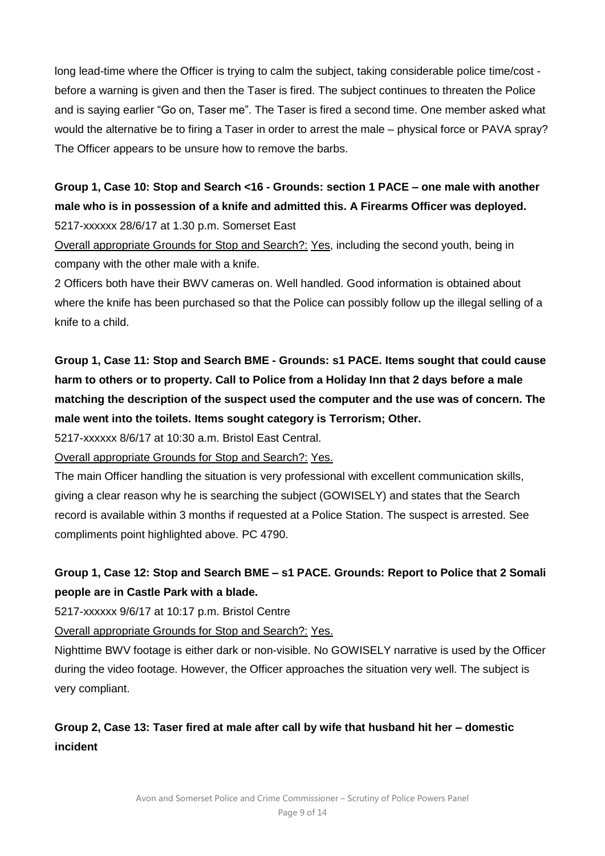long lead-time where the Officer is trying to calm the subject, taking considerable police time/cost before a warning is given and then the Taser is fired. The subject continues to threaten the Police and is saying earlier "Go on, Taser me". The Taser is fired a second time. One member asked what would the alternative be to firing a Taser in order to arrest the male – physical force or PAVA spray? The Officer appears to be unsure how to remove the barbs.

### **Group 1, Case 10: Stop and Search <16 - Grounds: section 1 PACE – one male with another male who is in possession of a knife and admitted this. A Firearms Officer was deployed.** 5217-xxxxxx 28/6/17 at 1.30 p.m. Somerset East

Overall appropriate Grounds for Stop and Search?: Yes, including the second youth, being in company with the other male with a knife.

2 Officers both have their BWV cameras on. Well handled. Good information is obtained about where the knife has been purchased so that the Police can possibly follow up the illegal selling of a knife to a child.

# **Group 1, Case 11: Stop and Search BME - Grounds: s1 PACE. Items sought that could cause harm to others or to property. Call to Police from a Holiday Inn that 2 days before a male matching the description of the suspect used the computer and the use was of concern. The male went into the toilets. Items sought category is Terrorism; Other.**

5217-xxxxxx 8/6/17 at 10:30 a.m. Bristol East Central.

Overall appropriate Grounds for Stop and Search?: Yes.

The main Officer handling the situation is very professional with excellent communication skills, giving a clear reason why he is searching the subject (GOWISELY) and states that the Search record is available within 3 months if requested at a Police Station. The suspect is arrested. See compliments point highlighted above. PC 4790.

### **Group 1, Case 12: Stop and Search BME – s1 PACE. Grounds: Report to Police that 2 Somali people are in Castle Park with a blade.**

5217-xxxxxx 9/6/17 at 10:17 p.m. Bristol Centre

Overall appropriate Grounds for Stop and Search?: Yes.

Nighttime BWV footage is either dark or non-visible. No GOWISELY narrative is used by the Officer during the video footage. However, the Officer approaches the situation very well. The subject is very compliant.

### **Group 2, Case 13: Taser fired at male after call by wife that husband hit her – domestic incident**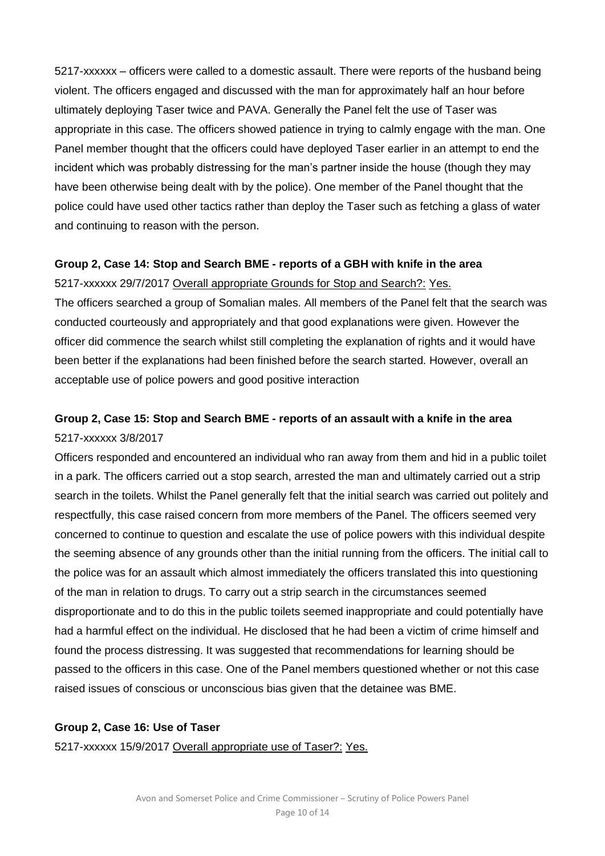5217-xxxxxx – officers were called to a domestic assault. There were reports of the husband being violent. The officers engaged and discussed with the man for approximately half an hour before ultimately deploying Taser twice and PAVA. Generally the Panel felt the use of Taser was appropriate in this case. The officers showed patience in trying to calmly engage with the man. One Panel member thought that the officers could have deployed Taser earlier in an attempt to end the incident which was probably distressing for the man's partner inside the house (though they may have been otherwise being dealt with by the police). One member of the Panel thought that the police could have used other tactics rather than deploy the Taser such as fetching a glass of water and continuing to reason with the person.

#### **Group 2, Case 14: Stop and Search BME - reports of a GBH with knife in the area**

5217-xxxxxx 29/7/2017 Overall appropriate Grounds for Stop and Search?: Yes.

The officers searched a group of Somalian males. All members of the Panel felt that the search was conducted courteously and appropriately and that good explanations were given. However the officer did commence the search whilst still completing the explanation of rights and it would have been better if the explanations had been finished before the search started. However, overall an acceptable use of police powers and good positive interaction

### **Group 2, Case 15: Stop and Search BME - reports of an assault with a knife in the area** 5217-xxxxxx 3/8/2017

Officers responded and encountered an individual who ran away from them and hid in a public toilet in a park. The officers carried out a stop search, arrested the man and ultimately carried out a strip search in the toilets. Whilst the Panel generally felt that the initial search was carried out politely and respectfully, this case raised concern from more members of the Panel. The officers seemed very concerned to continue to question and escalate the use of police powers with this individual despite the seeming absence of any grounds other than the initial running from the officers. The initial call to the police was for an assault which almost immediately the officers translated this into questioning of the man in relation to drugs. To carry out a strip search in the circumstances seemed disproportionate and to do this in the public toilets seemed inappropriate and could potentially have had a harmful effect on the individual. He disclosed that he had been a victim of crime himself and found the process distressing. It was suggested that recommendations for learning should be passed to the officers in this case. One of the Panel members questioned whether or not this case raised issues of conscious or unconscious bias given that the detainee was BME.

#### **Group 2, Case 16: Use of Taser**

5217-xxxxxx 15/9/2017 Overall appropriate use of Taser?: Yes.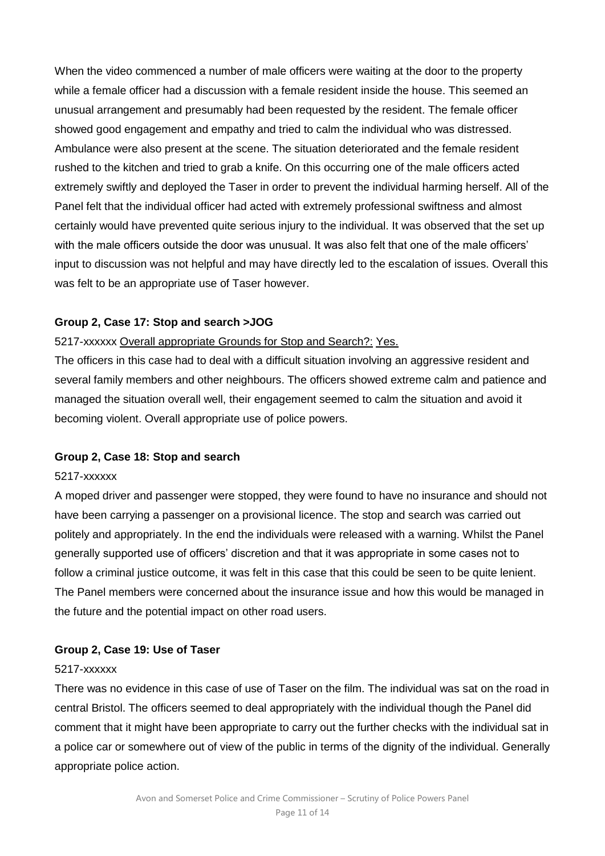When the video commenced a number of male officers were waiting at the door to the property while a female officer had a discussion with a female resident inside the house. This seemed an unusual arrangement and presumably had been requested by the resident. The female officer showed good engagement and empathy and tried to calm the individual who was distressed. Ambulance were also present at the scene. The situation deteriorated and the female resident rushed to the kitchen and tried to grab a knife. On this occurring one of the male officers acted extremely swiftly and deployed the Taser in order to prevent the individual harming herself. All of the Panel felt that the individual officer had acted with extremely professional swiftness and almost certainly would have prevented quite serious injury to the individual. It was observed that the set up with the male officers outside the door was unusual. It was also felt that one of the male officers' input to discussion was not helpful and may have directly led to the escalation of issues. Overall this was felt to be an appropriate use of Taser however.

### **Group 2, Case 17: Stop and search >JOG**

### 5217-xxxxxx Overall appropriate Grounds for Stop and Search?: Yes.

The officers in this case had to deal with a difficult situation involving an aggressive resident and several family members and other neighbours. The officers showed extreme calm and patience and managed the situation overall well, their engagement seemed to calm the situation and avoid it becoming violent. Overall appropriate use of police powers.

#### **Group 2, Case 18: Stop and search**

#### 5217-xxxxxx

A moped driver and passenger were stopped, they were found to have no insurance and should not have been carrying a passenger on a provisional licence. The stop and search was carried out politely and appropriately. In the end the individuals were released with a warning. Whilst the Panel generally supported use of officers' discretion and that it was appropriate in some cases not to follow a criminal justice outcome, it was felt in this case that this could be seen to be quite lenient. The Panel members were concerned about the insurance issue and how this would be managed in the future and the potential impact on other road users.

### **Group 2, Case 19: Use of Taser**

#### 5217-xxxxxx

There was no evidence in this case of use of Taser on the film. The individual was sat on the road in central Bristol. The officers seemed to deal appropriately with the individual though the Panel did comment that it might have been appropriate to carry out the further checks with the individual sat in a police car or somewhere out of view of the public in terms of the dignity of the individual. Generally appropriate police action.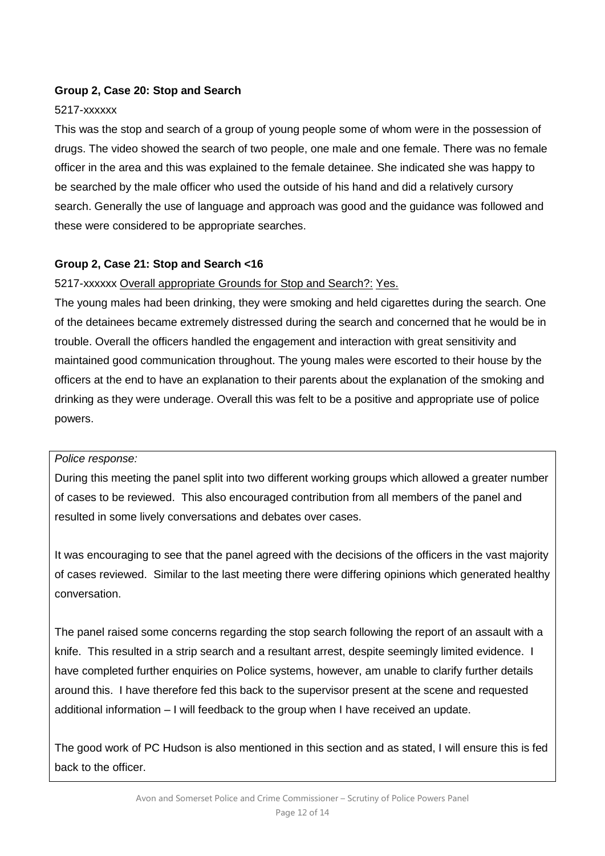### **Group 2, Case 20: Stop and Search**

#### 5217-xxxxxx

This was the stop and search of a group of young people some of whom were in the possession of drugs. The video showed the search of two people, one male and one female. There was no female officer in the area and this was explained to the female detainee. She indicated she was happy to be searched by the male officer who used the outside of his hand and did a relatively cursory search. Generally the use of language and approach was good and the guidance was followed and these were considered to be appropriate searches.

#### **Group 2, Case 21: Stop and Search <16**

5217-xxxxxx Overall appropriate Grounds for Stop and Search?: Yes.

The young males had been drinking, they were smoking and held cigarettes during the search. One of the detainees became extremely distressed during the search and concerned that he would be in trouble. Overall the officers handled the engagement and interaction with great sensitivity and maintained good communication throughout. The young males were escorted to their house by the officers at the end to have an explanation to their parents about the explanation of the smoking and drinking as they were underage. Overall this was felt to be a positive and appropriate use of police powers.

#### *Police response:*

During this meeting the panel split into two different working groups which allowed a greater number of cases to be reviewed. This also encouraged contribution from all members of the panel and resulted in some lively conversations and debates over cases.

It was encouraging to see that the panel agreed with the decisions of the officers in the vast majority of cases reviewed. Similar to the last meeting there were differing opinions which generated healthy conversation.

The panel raised some concerns regarding the stop search following the report of an assault with a knife. This resulted in a strip search and a resultant arrest, despite seemingly limited evidence. I have completed further enquiries on Police systems, however, am unable to clarify further details around this. I have therefore fed this back to the supervisor present at the scene and requested additional information – I will feedback to the group when I have received an update.

The good work of PC Hudson is also mentioned in this section and as stated, I will ensure this is fed back to the officer.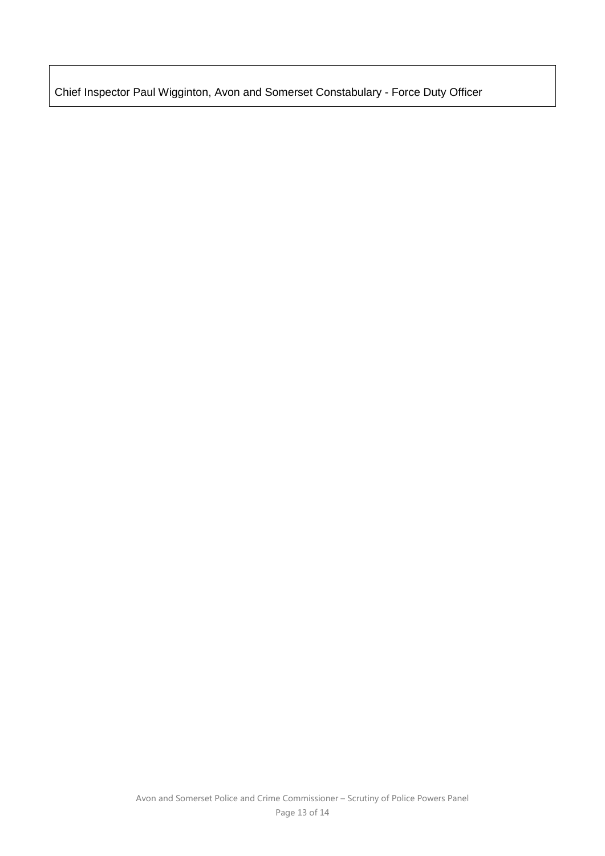Chief Inspector Paul Wigginton, Avon and Somerset Constabulary - Force Duty Officer